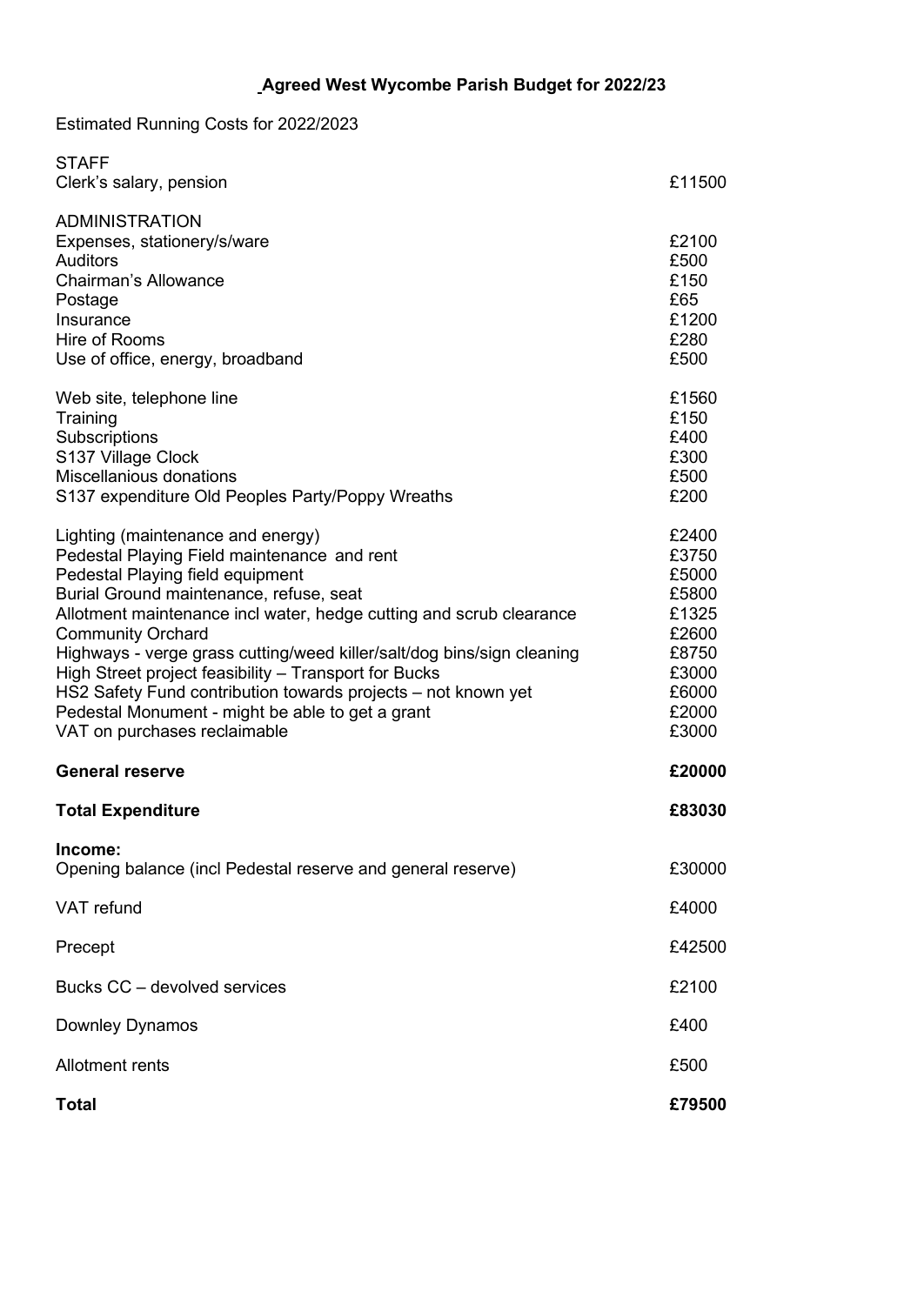Estimated Running Costs for 2022/2023

| <b>STAFF</b>                                                                                                                                                                                                                                                                                                                                                                                                                                                                                                                                               |                                                                                                 |
|------------------------------------------------------------------------------------------------------------------------------------------------------------------------------------------------------------------------------------------------------------------------------------------------------------------------------------------------------------------------------------------------------------------------------------------------------------------------------------------------------------------------------------------------------------|-------------------------------------------------------------------------------------------------|
| Clerk's salary, pension                                                                                                                                                                                                                                                                                                                                                                                                                                                                                                                                    | £11500                                                                                          |
| <b>ADMINISTRATION</b><br>Expenses, stationery/s/ware<br><b>Auditors</b><br><b>Chairman's Allowance</b><br>Postage<br>Insurance<br>Hire of Rooms<br>Use of office, energy, broadband                                                                                                                                                                                                                                                                                                                                                                        | £2100<br>£500<br>£150<br>£65<br>£1200<br>£280<br>£500                                           |
| Web site, telephone line<br>Training<br>Subscriptions<br>S137 Village Clock<br>Miscellanious donations<br>S137 expenditure Old Peoples Party/Poppy Wreaths                                                                                                                                                                                                                                                                                                                                                                                                 | £1560<br>£150<br>£400<br>£300<br>£500<br>£200                                                   |
| Lighting (maintenance and energy)<br>Pedestal Playing Field maintenance and rent<br>Pedestal Playing field equipment<br>Burial Ground maintenance, refuse, seat<br>Allotment maintenance incl water, hedge cutting and scrub clearance<br><b>Community Orchard</b><br>Highways - verge grass cutting/weed killer/salt/dog bins/sign cleaning<br>High Street project feasibility - Transport for Bucks<br>HS2 Safety Fund contribution towards projects - not known yet<br>Pedestal Monument - might be able to get a grant<br>VAT on purchases reclaimable | £2400<br>£3750<br>£5000<br>£5800<br>£1325<br>£2600<br>£8750<br>£3000<br>£6000<br>£2000<br>£3000 |
| <b>General reserve</b>                                                                                                                                                                                                                                                                                                                                                                                                                                                                                                                                     | £20000                                                                                          |
| <b>Total Expenditure</b>                                                                                                                                                                                                                                                                                                                                                                                                                                                                                                                                   | £83030                                                                                          |
| Income:<br>Opening balance (incl Pedestal reserve and general reserve)                                                                                                                                                                                                                                                                                                                                                                                                                                                                                     | £30000                                                                                          |
| <b>VAT</b> refund                                                                                                                                                                                                                                                                                                                                                                                                                                                                                                                                          | £4000                                                                                           |
| Precept                                                                                                                                                                                                                                                                                                                                                                                                                                                                                                                                                    | £42500                                                                                          |
| Bucks CC - devolved services                                                                                                                                                                                                                                                                                                                                                                                                                                                                                                                               | £2100                                                                                           |
| Downley Dynamos                                                                                                                                                                                                                                                                                                                                                                                                                                                                                                                                            | £400                                                                                            |
| Allotment rents                                                                                                                                                                                                                                                                                                                                                                                                                                                                                                                                            | £500                                                                                            |
| <b>Total</b>                                                                                                                                                                                                                                                                                                                                                                                                                                                                                                                                               | £79500                                                                                          |